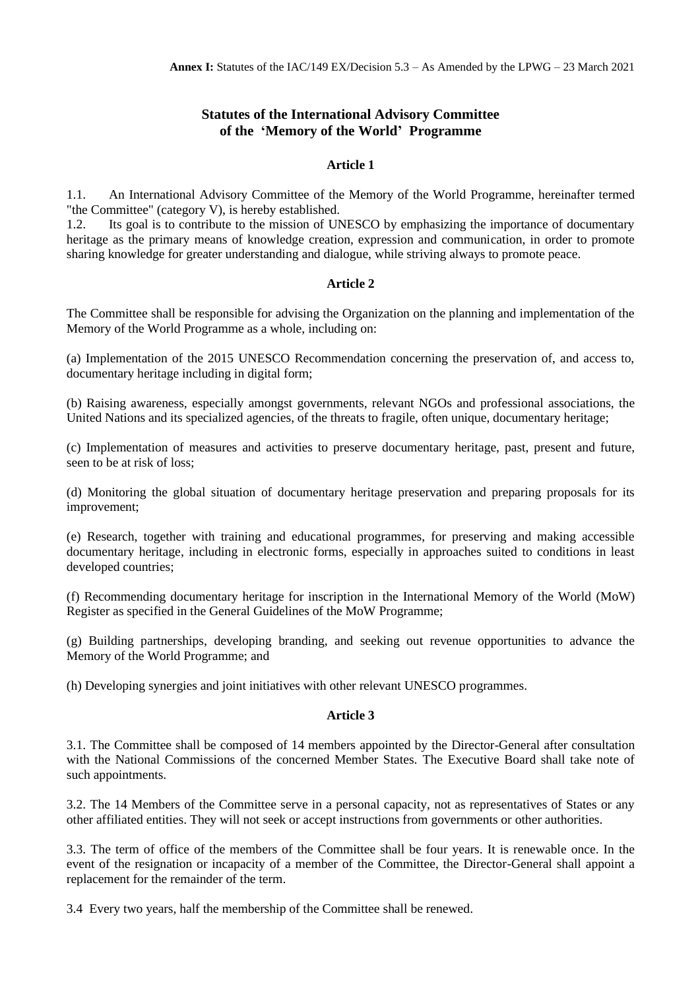# **Statutes of the International Advisory Committee of the 'Memory of the World' Programme**

### **Article 1**

1.1. An International Advisory Committee of the Memory of the World Programme, hereinafter termed "the Committee" (category V), is hereby established.

1.2. Its goal is to contribute to the mission of UNESCO by emphasizing the importance of documentary heritage as the primary means of knowledge creation, expression and communication, in order to promote sharing knowledge for greater understanding and dialogue, while striving always to promote peace.

### **Article 2**

The Committee shall be responsible for advising the Organization on the planning and implementation of the Memory of the World Programme as a whole, including on:

(a) Implementation of the 2015 UNESCO Recommendation concerning the preservation of, and access to, documentary heritage including in digital form;

(b) Raising awareness, especially amongst governments, relevant NGOs and professional associations, the United Nations and its specialized agencies, of the threats to fragile, often unique, documentary heritage;

(c) Implementation of measures and activities to preserve documentary heritage, past, present and future, seen to be at risk of loss;

(d) Monitoring the global situation of documentary heritage preservation and preparing proposals for its improvement;

(e) Research, together with training and educational programmes, for preserving and making accessible documentary heritage, including in electronic forms, especially in approaches suited to conditions in least developed countries;

(f) Recommending documentary heritage for inscription in the International Memory of the World (MoW) Register as specified in the General Guidelines of the MoW Programme;

(g) Building partnerships, developing branding, and seeking out revenue opportunities to advance the Memory of the World Programme; and

(h) Developing synergies and joint initiatives with other relevant UNESCO programmes.

## **Article 3**

3.1. The Committee shall be composed of 14 members appointed by the Director-General after consultation with the National Commissions of the concerned Member States. The Executive Board shall take note of such appointments.

3.2. The 14 Members of the Committee serve in a personal capacity, not as representatives of States or any other affiliated entities. They will not seek or accept instructions from governments or other authorities.

3.3. The term of office of the members of the Committee shall be four years. It is renewable once. In the event of the resignation or incapacity of a member of the Committee, the Director-General shall appoint a replacement for the remainder of the term.

3.4 Every two years, half the membership of the Committee shall be renewed.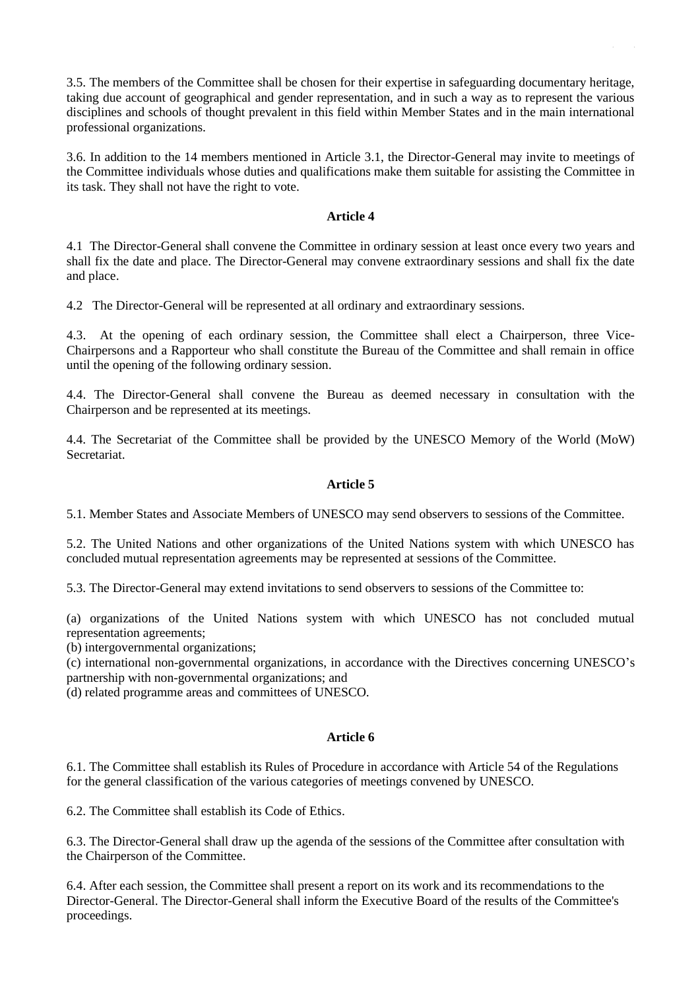3.5. The members of the Committee shall be chosen for their expertise in safeguarding documentary heritage, taking due account of geographical and gender representation, and in such a way as to represent the various disciplines and schools of thought prevalent in this field within Member States and in the main international professional organizations.

3.6. In addition to the 14 members mentioned in Article 3.1, the Director-General may invite to meetings of the Committee individuals whose duties and qualifications make them suitable for assisting the Committee in its task. They shall not have the right to vote.

#### **Article 4**

4.1 The Director-General shall convene the Committee in ordinary session at least once every two years and shall fix the date and place. The Director-General may convene extraordinary sessions and shall fix the date and place.

4.2 The Director-General will be represented at all ordinary and extraordinary sessions.

4.3. At the opening of each ordinary session, the Committee shall elect a Chairperson, three Vice-Chairpersons and a Rapporteur who shall constitute the Bureau of the Committee and shall remain in office until the opening of the following ordinary session.

4.4. The Director-General shall convene the Bureau as deemed necessary in consultation with the Chairperson and be represented at its meetings.

4.4. The Secretariat of the Committee shall be provided by the UNESCO Memory of the World (MoW) Secretariat.

## **Article 5**

5.1. Member States and Associate Members of UNESCO may send observers to sessions of the Committee.

5.2. The United Nations and other organizations of the United Nations system with which UNESCO has concluded mutual representation agreements may be represented at sessions of the Committee.

5.3. The Director-General may extend invitations to send observers to sessions of the Committee to:

(a) organizations of the United Nations system with which UNESCO has not concluded mutual representation agreements;

(b) intergovernmental organizations;

(c) international non-governmental organizations, in accordance with the Directives concerning UNESCO's partnership with non-governmental organizations; and

(d) related programme areas and committees of UNESCO.

#### **Article 6**

6.1. The Committee shall establish its Rules of Procedure in accordance with Article 54 of the Regulations for the general classification of the various categories of meetings convened by UNESCO.

6.2. The Committee shall establish its Code of Ethics.

6.3. The Director-General shall draw up the agenda of the sessions of the Committee after consultation with the Chairperson of the Committee.

6.4. After each session, the Committee shall present a report on its work and its recommendations to the Director-General. The Director-General shall inform the Executive Board of the results of the Committee's proceedings.